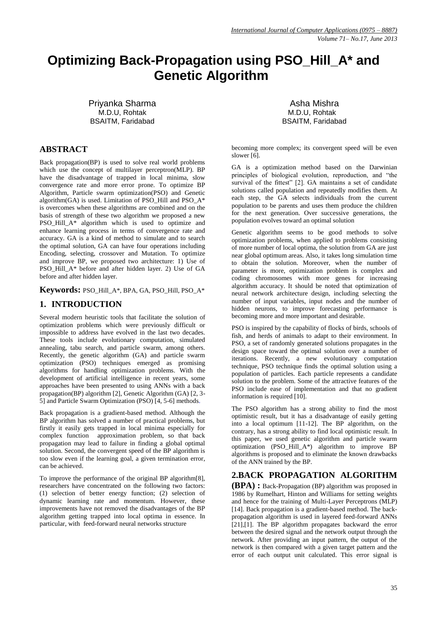# **Optimizing Back-Propagation using PSO\_Hill\_A\* and Genetic Algorithm**

Priyanka Sharma M.D.U, Rohtak BSAITM, Faridabad

## **ABSTRACT**

Back propagation(BP) is used to solve real world problems which use the concept of multilayer perceptron(MLP). BP have the disadvantage of trapped in local minima, slow convergence rate and more error prone. To optimize BP Algorithm, Particle swarm optimization(PSO) and Genetic algorithm(GA) is used. Limitation of PSO\_Hill and PSO\_A\* is overcomes when these algorithms are combined and on the basis of strength of these two algorithm we proposed a new PSO\_Hill\_A\* algorithm which is used to optimize and enhance learning process in terms of convergence rate and accuracy. GA is a kind of method to simulate and to search the optimal solution, GA can have four operations including Encoding, selecting, crossover and Mutation. To optimize and improve BP, we proposed two architecture: 1) Use of PSO\_Hill\_A\* before and after hidden layer. 2) Use of GA before and after hidden layer.

#### **Keywords:** PSO\_Hill\_A\*, BPA, GA, PSO\_Hill, PSO\_A\*

## **1. INTRODUCTION**

Several modern heuristic tools that facilitate the solution of optimization problems which were previously difficult or impossible to address have evolved in the last two decades. These tools include evolutionary computation, simulated annealing, tabu search, and particle swarm, among others. Recently, the genetic algorithm (GA) and particle swarm optimization (PSO) techniques emerged as promising algorithms for handling optimization problems. With the development of artificial intelligence in recent years, some approaches have been presented to using ANNs with a back propagation(BP) algorithm [2], Genetic Algorithm (GA) [2, 3- 5] and Particle Swarm Optimization (PSO) [4, 5-6] methods.

Back propagation is a gradient-based method. Although the BP algorithm has solved a number of practical problems, but firstly it easily gets trapped in local minima especially for complex function approximation problem, so that back propagation may lead to failure in finding a global optimal solution. Second, the convergent speed of the BP algorithm is too slow even if the learning goal, a given termination error, can be achieved.

To improve the performance of the original BP algorithm[8], researchers have concentrated on the following two factors: (1) selection of better energy function; (2) selection of dynamic learning rate and momentum. However, these improvements have not removed the disadvantages of the BP algorithm getting trapped into local optima in essence. In particular, with feed-forward neural networks structure

Asha Mishra M.D.U, Rohtak BSAITM, Faridabad

becoming more complex; its convergent speed will be even slower [6].

GA is a optimization method based on the Darwinian principles of biological evolution, reproduction, and "the survival of the fittest" [2]. GA maintains a set of candidate solutions called population and repeatedly modifies them. At each step, the GA selects individuals from the current population to be parents and uses them produce the children for the next generation. Over successive generations, the population evolves toward an optimal solution

Genetic algorithm seems to be good methods to solve optimization problems, when applied to problems consisting of more number of local optima, the solution from GA are just near global optimum areas. Also, it takes long simulation time to obtain the solution. Moreover, when the number of parameter is more, optimization problem is complex and coding chromosomes with more genes for increasing algorithm accuracy. It should be noted that optimization of neural network architecture design, including selecting the number of input variables, input nodes and the number of hidden neurons, to improve forecasting performance is becoming more and more important and desirable.

PSO is inspired by the capability of flocks of birds, schools of fish, and herds of animals to adapt to their environment. In PSO, a set of randomly generated solutions propagates in the design space toward the optimal solution over a number of iterations. Recently, a new evolutionary computation technique, PSO technique finds the optimal solution using a population of particles. Each particle represents a candidate solution to the problem. Some of the attractive features of the PSO include ease of implementation and that no gradient information is required [10].

The PSO algorithm has a strong ability to find the most optimistic result, but it has a disadvantage of easily getting into a local optimum [11-12]. The BP algorithm, on the contrary, has a strong ability to find local optimistic result. In this paper, we used genetic algorithm and particle swarm optimization (PSO\_Hill\_A\*) algorithm to improve BP algorithms is proposed and to eliminate the known drawbacks of the ANN trained by the BP.

### **2.BACK PROPAGATION ALGORITHM**

**(BPA) :** Back-Propagation (BP) algorithm was proposed in 1986 by Rumelhart, Hinton and Williams for setting weights and hence for the training of Multi-Layer Perceptrons (MLP) [14]. Back propagation is a gradient-based method. The backpropagation algorithm is used in layered feed-forward ANNs [21],[1]. The BP algorithm propagates backward the error between the desired signal and the network output through the network. After providing an input pattern, the output of the network is then compared with a given target pattern and the error of each output unit calculated. This error signal is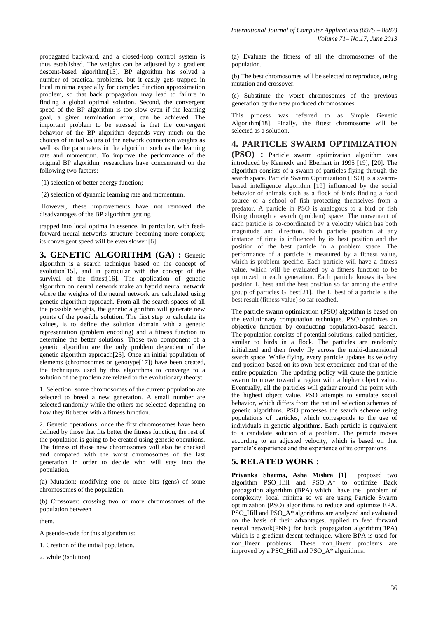propagated backward, and a closed-loop control system is thus established. The weights can be adjusted by a gradient descent-based algorithm[13]. BP algorithm has solved a number of practical problems, but it easily gets trapped in local minima especially for complex function approximation problem, so that back propagation may lead to failure in finding a global optimal solution. Second, the convergent speed of the BP algorithm is too slow even if the learning goal, a given termination error, can be achieved. The important problem to be stressed is that the convergent behavior of the BP algorithm depends very much on the choices of initial values of the network connection weights as well as the parameters in the algorithm such as the learning rate and momentum. To improve the performance of the original BP algorithm, researchers have concentrated on the following two factors:

(1) selection of better energy function;

(2) selection of dynamic learning rate and momentum.

However, these improvements have not removed the disadvantages of the BP algorithm getting

trapped into local optima in essence. In particular, with feedforward neural networks structure becoming more complex; its convergent speed will be even slower [6].

**3. GENETIC ALGORITHM (GA) :** Genetic algorithm is a search technique based on the concept of evolution[15], and in particular with the concept of the survival of the fittest[16]. The application of genetic algorithm on neural network make an hybrid neural network where the weights of the neural network are calculated using genetic algorithm approach. From all the search spaces of all the possible weights, the genetic algorithm will generate new points of the possible solution. The first step to calculate its values, is to define the solution domain with a genetic representation (problem encoding) and a fitness function to determine the better solutions. Those two component of a genetic algorithm are the only problem dependent of the genetic algorithm approach[25]. Once an initial population of elements (chromosomes or genotype[17]) have been created, the techniques used by this algorithms to converge to a solution of the problem are related to the evolutionary theory:

1. Selection: some chromosomes of the current population are selected to breed a new generation. A small number are selected randomly while the others are selected depending on how they fit better with a fitness function.

2. Genetic operations: once the first chromosomes have been defined by those that fits better the fitness function, the rest of the population is going to be created using genetic operations. The fitness of those new chromosomes will also be checked and compared with the worst chromosomes of the last generation in order to decide who will stay into the population.

(a) Mutation: modifying one or more bits (gens) of some chromosomes of the population.

(b) Crossover: crossing two or more chromosomes of the population between

them.

A pseudo-code for this algorithm is:

1. Creation of the initial population.

2. while (!solution)

(a) Evaluate the fitness of all the chromosomes of the population.

(b) The best chromosomes will be selected to reproduce, using mutation and crossover.

(c) Substitute the worst chromosomes of the previous generation by the new produced chromosomes.

This process was referred to as Simple Genetic Algorithm[18]. Finally, the fittest chromosome will be selected as a solution.

### **4. PARTICLE SWARM OPTIMIZATION**

**(PSO) :** Particle swarm optimization algorithm was introduced by Kennedy and Eberhart in 1995 [19], [20]. The algorithm consists of a swarm of particles flying through the search space. Particle Swarm Optimization (PSO) is a swarmbased intelligence algorithm [19] influenced by the social behavior of animals such as a flock of birds finding a food source or a school of fish protecting themselves from a predator. A particle in PSO is analogous to a bird or fish flying through a search (problem) space. The movement of each particle is co-coordinated by a velocity which has both magnitude and direction. Each particle position at any instance of time is influenced by its best position and the position of the best particle in a problem space. The performance of a particle is measured by a fitness value, which is problem specific. Each particle will have a fitness value, which will be evaluated by a fitness function to be optimized in each generation. Each particle knows its best position L\_best and the best position so far among the entire group of particles G\_best[21]. The L\_best of a particle is the best result (fitness value) so far reached.

The particle swarm optimization (PSO) algorithm is based on the evolutionary computation technique. PSO optimizes an objective function by conducting population-based search. The population consists of potential solutions, called particles, similar to birds in a flock. The particles are randomly initialized and then freely fly across the multi-dimensional search space. While flying, every particle updates its velocity and position based on its own best experience and that of the entire population. The updating policy will cause the particle swarm to move toward a region with a higher object value. Eventually, all the particles will gather around the point with the highest object value. PSO attempts to simulate social behavior, which differs from the natural selection schemes of genetic algorithms. PSO processes the search scheme using populations of particles, which corresponds to the use of individuals in genetic algorithms. Each particle is equivalent to a candidate solution of a problem. The particle moves according to an adjusted velocity, which is based on that particle's experience and the experience of its companions.

#### **5. RELATED WORK :**

Priyanka Sharma, Asha Mishra [1] proposed two algorithm PSO\_Hill and PSO\_A\* to optimize Back propagation algorithm (BPA) which have the problem of complexity, local minima so we are using Particle Swarm optimization (PSO) algorithms to reduce and optimize BPA. PSO\_Hill and PSO\_A\* algorithms are analyzed and evaluated on the basis of their advantages, applied to feed forward neural network(FNN) for back propagation algorithm(BPA) which is a gredient desent technique. where BPA is used for non\_linear problems. These non\_linear problems are improved by a PSO\_Hill and PSO\_A\* algorithms.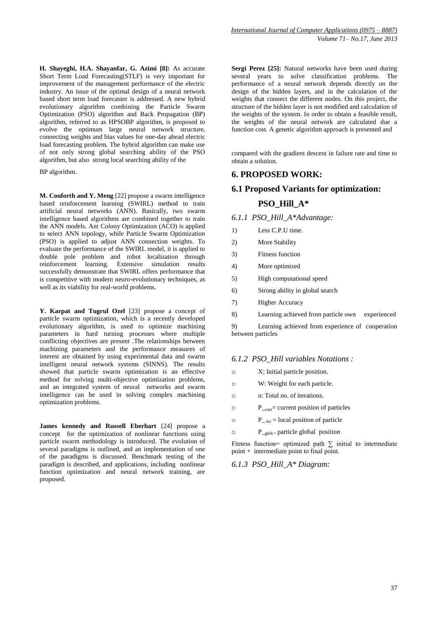**H. Shayeghi, H.A. Shayanfar, G. Azimi [8]:** As accurate Short Term Load Forecasting(STLF) is very important for improvement of the management performance of the electric industry. An issue of the optimal design of a neural network based short term load forecaster is addressed. A new hybrid evolutionary algorithm combining the Particle Swarm Optimization (PSO) algorithm and Back Propagation (BP) algorithm, referred to as HPSOBP algorithm, is proposed to evolve the optimum large neural network structure, connecting weights and bias values for one-day ahead electric load forecasting problem. The hybrid algorithm can make use of not only strong global searching ability of the PSO algorithm, but also strong local searching ability of the

BP algorithm.

**M. Conforth and Y. Meng** [22] propose a swarm intelligence based reinforcement learning (SWIRL) method to train artificial neural networks (ANN). Basically, two swarm intelligence based algorithms are combined together to train the ANN models. Ant Colony Optimization (ACO) is applied to select ANN topology, while Particle Swarm Optimization (PSO) is applied to adjust ANN connection weights. To evaluate the performance of the SWIRL model, it is applied to double pole problem and robot localization through reinforcement learning. Extensive simulation results successfully demonstrate that SWIRL offers performance that is competitive with modern neuro-evolutionary techniques, as well as its viability for real-world problems.

**Y. Karpat and Tugrul Ozel** [23] propose a concept of particle swarm optimization, which is a recently developed evolutionary algorithm, is used to optimize machining parameters in hard turning processes where multiple conflicting objectives are present .The relationships between machining parameters and the performance measures of interest are obtained by using experimental data and swarm intelligent neural network systems (SINNS). The results showed that particle swarm optimization is an effective method for solving multi-objective optimization problems, and an integrated system of neural networks and swarm intelligence can be used in solving complex machining optimization problems.

**James kennedy and Russell Eberhart** [24] propose a concept for the optimization of nonlinear functions using particle swarm methodology is introduced. The evolution of several paradigms is outlined, and an implementation of one of the paradigms is discussed. Benchmark testing of the paradigm is described, and applications, including nonlinear function optimization and neural network training, are proposed.

**Sergi Perez [25]:** Natural networks have been used during several years to solve classification problems. The performance of a neural network depends directly on the design of the hidden layers, and in the calculation of the weights that connect the different nodes. On this project, the structure of the hidden layer is not modified and calculation of the weights of the system. In order to obtain a feasible result, the weights of the neural network are calculated due a function cost. A genetic algorithm approach is presented and

compared with the gradient descent in failure rate and time to obtain a solution.

### **6. PROPOSED WORK:**

# **6.1 Proposed Variants for optimization: PSO\_Hill\_A\***

*6.1.1 PSO\_Hill\_A\*Advantage:*

- 1) Less C.P.U time.
- 2) More Stability
- 3) Fitness function
- 4) More optimized
- 5) High computational speed
- 6) Strong ability in global search
- 7) Higher Accuracy
- 8) Learning achieved from particle own experienced

9) Learning achieved from experience of cooperation between particles

### *6.1.2 PSO\_Hill variables Notations :*

- o X: Initial particle position.
- o W: Weight for each particle.
- o n: Total no. of iterations.
- $P_{\text{corr}}$  = current position of particles
- $P_{\text{-}loc}$  = local position of particle
- $P_{\text{orb}} =$  particle global position

Fitness function= optimized path  $\Sigma$  initial to intermediate point + intermediate point to final point.

*6.1.3 PSO\_Hill\_A\* Diagram:*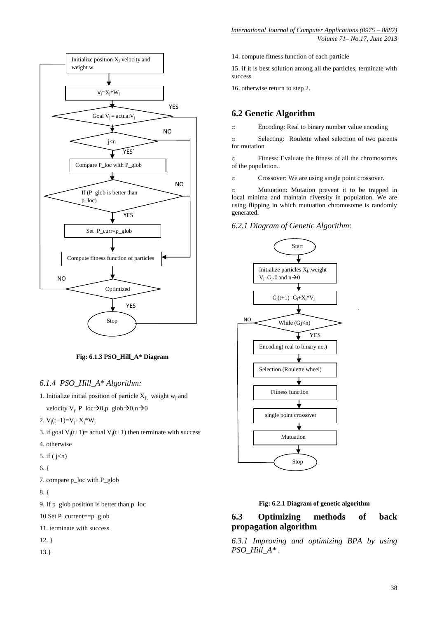

**Fig: 6.1.3 PSO\_Hill\_A\* Diagram**

### *6.1.4 PSO\_Hill\_A\* Algorithm:*

- 1. Initialize initial position of particle  $X_i$ , weight w<sub>i</sub> and velocity  $V_j$ ,  $P\_loc \rightarrow 0, p\_glob \rightarrow 0, n \rightarrow 0$
- 2.  $V_j(t+1)=V_j+X_j*W_j$
- 3. if goal  $V_j(t+1)$  = actual  $V_j(t+1)$  then terminate with success
- 4. otherwise
- 5. if ( $j < n$ )
- 6. {

7. compare p\_loc with P\_glob

8. {

9. If p\_glob position is better than p\_loc

10.Set P\_current==p\_glob

11. terminate with success

12. }

13.}

14. compute fitness function of each particle

15. if it is best solution among all the particles, terminate with success

16. otherwise return to step 2.

# **6.2 Genetic Algorithm**

o Encoding: Real to binary number value encoding

o Selecting: Roulette wheel selection of two parents for mutation

o Fitness: Evaluate the fitness of all the chromosomes of the population..

o Crossover: We are using single point crossover.

o Mutuation: Mutation prevent it to be trapped in local minima and maintain diversity in population. We are using flipping in which mutuation chromosome is randomly generated.

### *6.2.1 Diagram of Genetic Algorithm:*



### **Fig: 6.2.1 Diagram of genetic algorithm**

# **6.3 Optimizing methods of back propagation algorithm**

*6.3.1 Improving and optimizing BPA by using PSO\_Hill\_A\* .*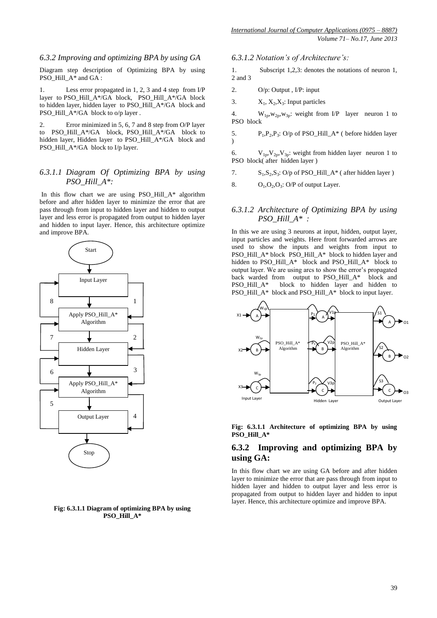#### *6.3.2 Improving and optimizing BPA by using GA*

Diagram step description of Optimizing BPA by using PSO\_Hill\_A\* and GA :

1. Less error propagated in 1, 2, 3 and 4 step from I/P layer to PSO\_Hill\_A\*/GA\_block, PSO\_Hill\_A\*/GA\_block to hidden layer, hidden layer to PSO\_Hill\_A\*/GA block and PSO\_Hill\_A\*/GA\_block to o/p layer .

2. Error minimized in 5, 6, 7 and 8 step from O/P layer to PSO\_Hill\_A\*/GA block, PSO\_Hill\_A\*/GA block to hidden layer, Hidden layer to PSO\_Hill\_A\*/GA block and PSO\_Hill\_A\*/GA block to I/p layer.

#### *6.3.1.1 Diagram Of Optimizing BPA by using PSO\_Hill\_A\*:*

In this flow chart we are using PSO\_Hill\_A\* algorithm before and after hidden layer to minimize the error that are pass through from input to hidden layer and hidden to output layer and less error is propagated from output to hidden layer and hidden to input layer. Hence, this architecture optimize and improve BPA.



#### **Fig: 6.3.1.1 Diagram of optimizing BPA by using PSO\_Hill\_A\***

*6.3.1.2 Notation's of Architecture's:*

1. Subscript 1,2,3: denotes the notations of neuron 1, 2 and 3

2. O/p: Output , I/P: input

3.  $X_1, X_2, X_3$ : Input particles

4. W<sub>1p</sub>, W<sub>2p</sub>, W<sub>3p</sub>: weight from I/P layer neuron 1 to PSO block

5.  $P_1, P_2, P_3$ : O/p of PSO\_Hill\_A\* ( before hidden layer  $\lambda$ 

6.  $V_{1p}V_{2p}V_{3p}$ : weight from hidden layer neuron 1 to PSO block( after hidden layer )

7.  $S_1, S_2, S_3$ : O/p of PSO\_Hill\_A\* (after hidden layer)

8.  $O_1, O_2, O_3$ : O/P of output Layer.

### *6.3.1.2 Architecture of Optimizing BPA by using PSO\_Hill\_A\* :*

In this we are using 3 neurons at input, hidden, output layer, input particles and weights. Here front forwarded arrows are used to show the inputs and weights from input to PSO\_Hill\_A\* block PSO\_Hill\_A\* block to hidden layer and hidden to PSO\_Hill\_A\* block and PSO\_Hill\_A\* block to output layer. We are using arcs to show the error's propagated back warded from output to PSO\_Hill\_A\* block and<br>PSO\_Hill\_A\* block to hidden layer and hidden to block to hidden layer and hidden to PSO\_Hill\_A\* block and PSO\_Hill\_A\* block to input layer.



**Fig: 6.3.1.1 Architecture of optimizing BPA by using PSO\_Hill\_A\***

### **6.3.2 Improving and optimizing BPA by using GA:**

In this flow chart we are using GA before and after hidden layer to minimize the error that are pass through from input to hidden layer and hidden to output layer and less error is propagated from output to hidden layer and hidden to input layer. Hence, this architecture optimize and improve BPA.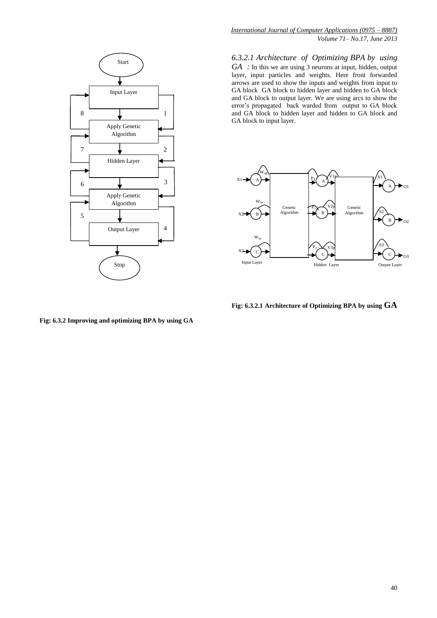

*International Journal of Computer Applications (0975 – 8887) Volume 71– No.17, June 2013*

*6.3.2.1 Architecture of Optimizing BPA by using GA :* In this we are using 3 neurons at input, hidden, output layer, input particles and weights. Here front forwarded arrows are used to show the inputs and weights from input to GA block GA block to hidden layer and hidden to GA block and GA block to output layer. We are using arcs to show the error's propagated back warded from output to GA block and GA block to hidden layer and hidden to GA block and GA block to input layer.



**Fig: 6.3.2.1 Architecture of Optimizing BPA by using GA**

**Fig: 6.3.2 Improving and optimizing BPA by using GA**